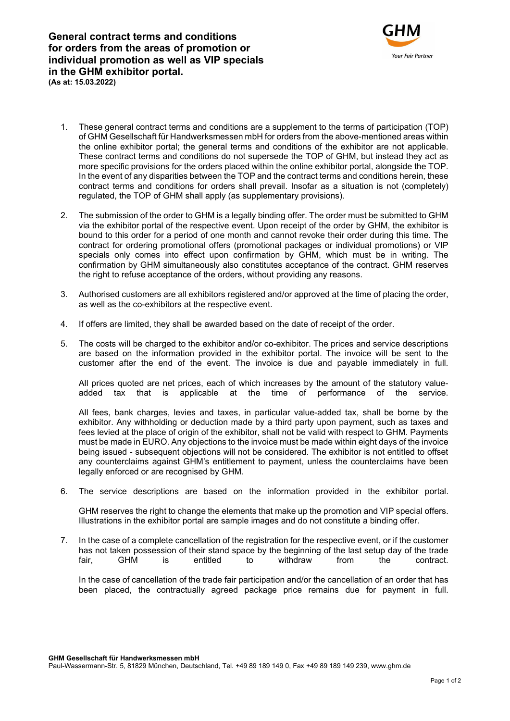General contract terms and conditions for orders from the areas of promotion or individual promotion as well as VIP specials in the GHM exhibitor portal. (As at: 15.03.2022)



- 1. These general contract terms and conditions are a supplement to the terms of participation (TOP) of GHM Gesellschaft für Handwerksmessen mbH for orders from the above-mentioned areas within the online exhibitor portal; the general terms and conditions of the exhibitor are not applicable. These contract terms and conditions do not supersede the TOP of GHM, but instead they act as more specific provisions for the orders placed within the online exhibitor portal, alongside the TOP. In the event of any disparities between the TOP and the contract terms and conditions herein, these contract terms and conditions for orders shall prevail. Insofar as a situation is not (completely) regulated, the TOP of GHM shall apply (as supplementary provisions).
- 2. The submission of the order to GHM is a legally binding offer. The order must be submitted to GHM via the exhibitor portal of the respective event. Upon receipt of the order by GHM, the exhibitor is bound to this order for a period of one month and cannot revoke their order during this time. The contract for ordering promotional offers (promotional packages or individual promotions) or VIP specials only comes into effect upon confirmation by GHM, which must be in writing. The confirmation by GHM simultaneously also constitutes acceptance of the contract. GHM reserves the right to refuse acceptance of the orders, without providing any reasons.
- 3. Authorised customers are all exhibitors registered and/or approved at the time of placing the order, as well as the co-exhibitors at the respective event.
- 4. If offers are limited, they shall be awarded based on the date of receipt of the order.
- 5. The costs will be charged to the exhibitor and/or co-exhibitor. The prices and service descriptions are based on the information provided in the exhibitor portal. The invoice will be sent to the customer after the end of the event. The invoice is due and payable immediately in full.

All prices quoted are net prices, each of which increases by the amount of the statutory valueadded tax that is applicable at the time of performance of the service.

All fees, bank charges, levies and taxes, in particular value-added tax, shall be borne by the exhibitor. Any withholding or deduction made by a third party upon payment, such as taxes and fees levied at the place of origin of the exhibitor, shall not be valid with respect to GHM. Payments must be made in EURO. Any objections to the invoice must be made within eight days of the invoice being issued - subsequent objections will not be considered. The exhibitor is not entitled to offset any counterclaims against GHM's entitlement to payment, unless the counterclaims have been legally enforced or are recognised by GHM.

6. The service descriptions are based on the information provided in the exhibitor portal.

GHM reserves the right to change the elements that make up the promotion and VIP special offers. Illustrations in the exhibitor portal are sample images and do not constitute a binding offer.

7. In the case of a complete cancellation of the registration for the respective event, or if the customer has not taken possession of their stand space by the beginning of the last setup day of the trade fair, GHM is entitled to withdraw from the contract.

In the case of cancellation of the trade fair participation and/or the cancellation of an order that has been placed, the contractually agreed package price remains due for payment in full.